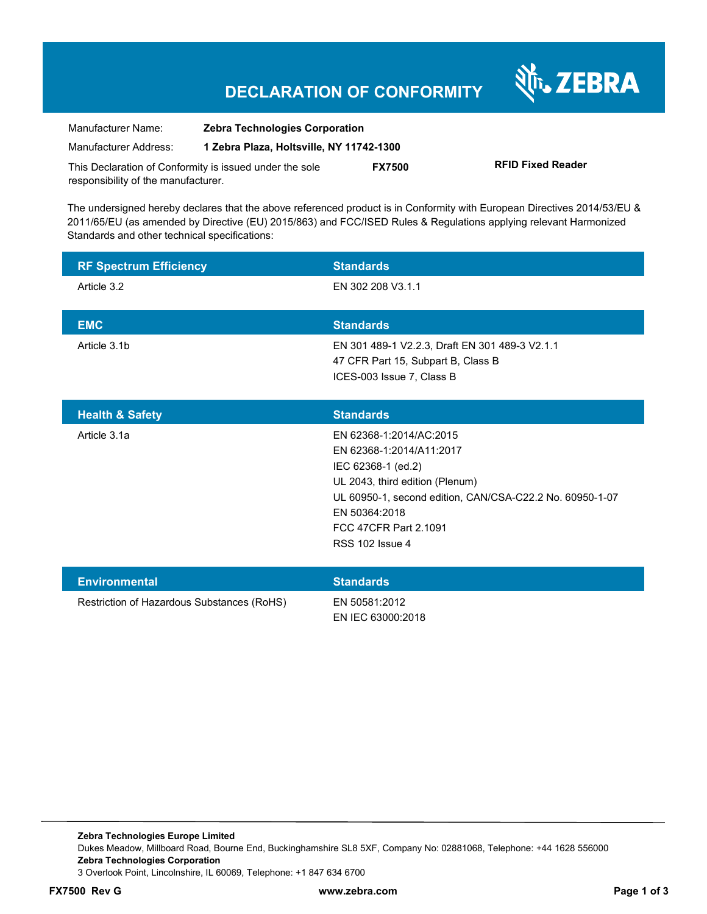श्री<sub>1</sub>, ZEBRA

| Manufacturer Name:                                      | <b>Zebra Technologies Corporation</b>    |               |                          |  |
|---------------------------------------------------------|------------------------------------------|---------------|--------------------------|--|
| Manufacturer Address:                                   | 1 Zebra Plaza, Holtsville, NY 11742-1300 |               |                          |  |
| This Declaration of Conformity is issued under the sole |                                          | <b>FX7500</b> | <b>RFID Fixed Reader</b> |  |
| responsibility of the manufacturer.                     |                                          |               |                          |  |

The undersigned hereby declares that the above referenced product is in Conformity with European Directives 2014/53/EU & 2011/65/EU (as amended by Directive (EU) 2015/863) and FCC/ISED Rules & Regulations applying relevant Harmonized Standards and other technical specifications:

| <b>RF Spectrum Efficiency</b>              | <b>Standards</b>                                                                                                                                                                                                                             |
|--------------------------------------------|----------------------------------------------------------------------------------------------------------------------------------------------------------------------------------------------------------------------------------------------|
| Article 3.2                                | EN 302 208 V3.1.1                                                                                                                                                                                                                            |
| <b>EMC</b>                                 | <b>Standards</b>                                                                                                                                                                                                                             |
| Article 3.1b                               | EN 301 489-1 V2.2.3, Draft EN 301 489-3 V2.1.1<br>47 CFR Part 15, Subpart B, Class B<br>ICES-003 Issue 7, Class B                                                                                                                            |
| <b>Health &amp; Safety</b>                 | <b>Standards</b>                                                                                                                                                                                                                             |
| Article 3.1a                               | FN 62368-1:2014/AC:2015<br>EN 62368-1:2014/A11:2017<br>IEC 62368-1 (ed.2)<br>UL 2043, third edition (Plenum)<br>UL 60950-1, second edition, CAN/CSA-C22.2 No. 60950-1-07<br>EN 50364:2018<br>FCC 47CFR Part 2.1091<br><b>RSS 102 Issue 4</b> |
| <b>Environmental</b>                       | <b>Standards</b>                                                                                                                                                                                                                             |
| Restriction of Hazardous Substances (RoHS) | EN 50581:2012<br>EN IEC 63000:2018                                                                                                                                                                                                           |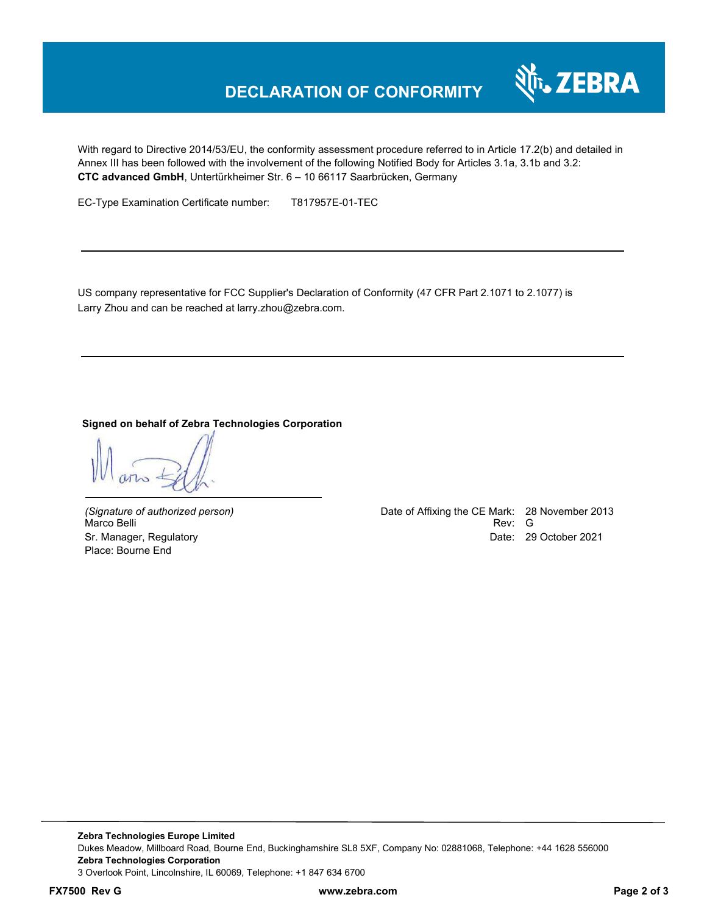

With regard to Directive 2014/53/EU, the conformity assessment procedure referred to in Article 17.2(b) and detailed in Annex III has been followed with the involvement of the following Notified Body for Articles 3.1a, 3.1b and 3.2: **CTC advanced GmbH**, Untertürkheimer Str. 6 – 10 66117 Saarbrücken, Germany

EC-Type Examination Certificate number: T817957E-01-TEC

US company representative for FCC Supplier's Declaration of Conformity (47 CFR Part 2.1071 to 2.1077) is Larry Zhou and can be reached at larry.zhou@zebra.com.

#### **Signed on behalf of Zebra Technologies Corporation**

Place: Bourne End

*(Signature of authorized person)* Date of Affixing the CE Mark: 28 November 2013 Marco Belli Rev: G Sr. Manager, Regulatory Date: 29 October 2021

**Zebra Technologies Europe Limited**  Dukes Meadow, Millboard Road, Bourne End, Buckinghamshire SL8 5XF, Company No: 02881068, Telephone: +44 1628 556000 **Zebra Technologies Corporation**  3 Overlook Point, Lincolnshire, IL 60069, Telephone: +1 847 634 6700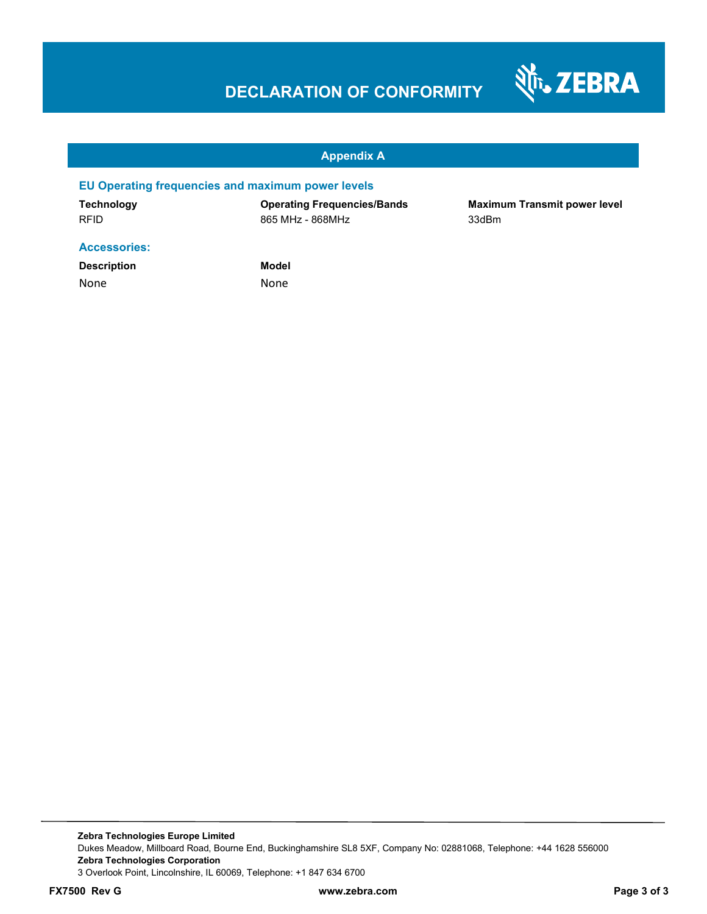

#### **Appendix A**

#### **EU Operating frequencies and maximum power levels**

**Technology Operating Frequencies/Bands Maximum Transmit power level**  RFID 865 MHz - 868MHz 33dBm

#### **Accessories:**

**Description Model** None None